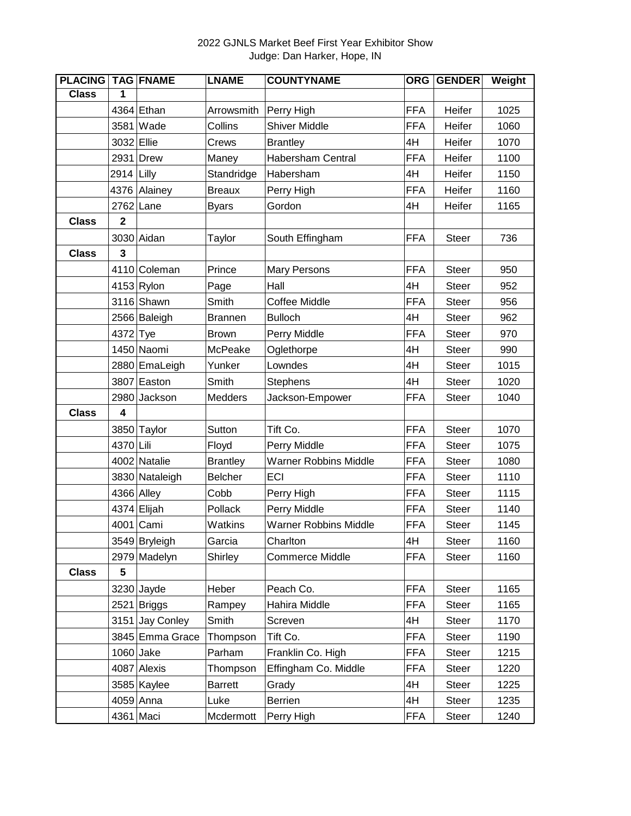## 2022 GJNLS Market Beef First Year Exhibitor Show Judge: Dan Harker, Hope, IN

| <b>PLACING</b> |                  | <b>TAG FNAME</b> | <b>LNAME</b>    | <b>COUNTYNAME</b>            | <b>ORG</b> | <b>GENDER</b> | Weight |
|----------------|------------------|------------------|-----------------|------------------------------|------------|---------------|--------|
| <b>Class</b>   | 1                |                  |                 |                              |            |               |        |
|                |                  | 4364 Ethan       | Arrowsmith      | Perry High                   | <b>FFA</b> | Heifer        | 1025   |
|                | 3581             | Wade             | Collins         | <b>Shiver Middle</b>         | <b>FFA</b> | Heifer        | 1060   |
|                | 3032 Ellie       |                  | Crews           | <b>Brantley</b>              | 4H         | Heifer        | 1070   |
|                |                  | 2931 Drew        | Maney           | <b>Habersham Central</b>     | <b>FFA</b> | Heifer        | 1100   |
|                | 2914             | Lilly            | Standridge      | Habersham                    | 4H         | Heifer        | 1150   |
|                | 4376             | Alainey          | <b>Breaux</b>   | Perry High                   | <b>FFA</b> | Heifer        | 1160   |
|                | 2762             | Lane             | <b>Byars</b>    | Gordon                       | 4H         | Heifer        | 1165   |
| <b>Class</b>   | $\mathbf 2$      |                  |                 |                              |            |               |        |
|                |                  | 3030 Aidan       | Taylor          | South Effingham              | <b>FFA</b> | <b>Steer</b>  | 736    |
| <b>Class</b>   | 3                |                  |                 |                              |            |               |        |
|                |                  | 4110 Coleman     | Prince          | <b>Mary Persons</b>          | <b>FFA</b> | <b>Steer</b>  | 950    |
|                |                  | $4153$ Rylon     | Page            | Hall                         | 4H         | <b>Steer</b>  | 952    |
|                |                  | 3116 Shawn       | Smith           | <b>Coffee Middle</b>         | <b>FFA</b> | <b>Steer</b>  | 956    |
|                |                  | 2566 Baleigh     | <b>Brannen</b>  | <b>Bulloch</b>               | 4H         | <b>Steer</b>  | 962    |
|                | 4372 Tye         |                  | <b>Brown</b>    | Perry Middle                 | <b>FFA</b> | <b>Steer</b>  | 970    |
|                |                  | 1450 Naomi       | McPeake         | Oglethorpe                   | 4H         | <b>Steer</b>  | 990    |
|                |                  | 2880 EmaLeigh    | Yunker          | Lowndes                      | 4H         | <b>Steer</b>  | 1015   |
|                |                  | 3807 Easton      | Smith           | Stephens                     | 4H         | <b>Steer</b>  | 1020   |
|                | 2980             | Jackson          | Medders         | Jackson-Empower              | <b>FFA</b> | <b>Steer</b>  | 1040   |
| <b>Class</b>   | $\boldsymbol{4}$ |                  |                 |                              |            |               |        |
|                |                  | 3850 Taylor      | Sutton          | Tift Co.                     | <b>FFA</b> | <b>Steer</b>  | 1070   |
|                | 4370 Lili        |                  | Floyd           | Perry Middle                 | <b>FFA</b> | <b>Steer</b>  | 1075   |
|                |                  | 4002 Natalie     | <b>Brantley</b> | <b>Warner Robbins Middle</b> | <b>FFA</b> | <b>Steer</b>  | 1080   |
|                |                  | 3830 Nataleigh   | <b>Belcher</b>  | ECI                          | <b>FFA</b> | <b>Steer</b>  | 1110   |
|                | 4366 Alley       |                  | Cobb            | Perry High                   | <b>FFA</b> | <b>Steer</b>  | 1115   |
|                |                  | 4374 Elijah      | Pollack         | Perry Middle                 | <b>FFA</b> | <b>Steer</b>  | 1140   |
|                |                  | 4001 Cami        | Watkins         | <b>Warner Robbins Middle</b> | <b>FFA</b> | <b>Steer</b>  | 1145   |
|                |                  | 3549 Bryleigh    | Garcia          | Charlton                     | 4H         | <b>Steer</b>  | 1160   |
|                |                  | 2979 Madelyn     | Shirley         | <b>Commerce Middle</b>       | <b>FFA</b> | <b>Steer</b>  | 1160   |
| <b>Class</b>   | $5\phantom{.0}$  |                  |                 |                              |            |               |        |
|                |                  | $3230$ Jayde     | Heber           | Peach Co.                    | <b>FFA</b> | <b>Steer</b>  | 1165   |
|                |                  | 2521 Briggs      | Rampey          | Hahira Middle                | <b>FFA</b> | <b>Steer</b>  | 1165   |
|                |                  | 3151 Jay Conley  | Smith           | Screven                      | 4H         | <b>Steer</b>  | 1170   |
|                |                  | 3845 Emma Grace  | Thompson        | Tift Co.                     | <b>FFA</b> | <b>Steer</b>  | 1190   |
|                | $1060$ Jake      |                  | Parham          | Franklin Co. High            | <b>FFA</b> | <b>Steer</b>  | 1215   |
|                |                  | 4087 Alexis      | Thompson        | Effingham Co. Middle         | <b>FFA</b> | <b>Steer</b>  | 1220   |
|                |                  | 3585 Kaylee      | <b>Barrett</b>  | Grady                        | 4H         | <b>Steer</b>  | 1225   |
|                |                  | 4059 Anna        | Luke            | Berrien                      | 4H         | <b>Steer</b>  | 1235   |
|                | 4361 Maci        |                  | Mcdermott       | Perry High                   | <b>FFA</b> | <b>Steer</b>  | 1240   |